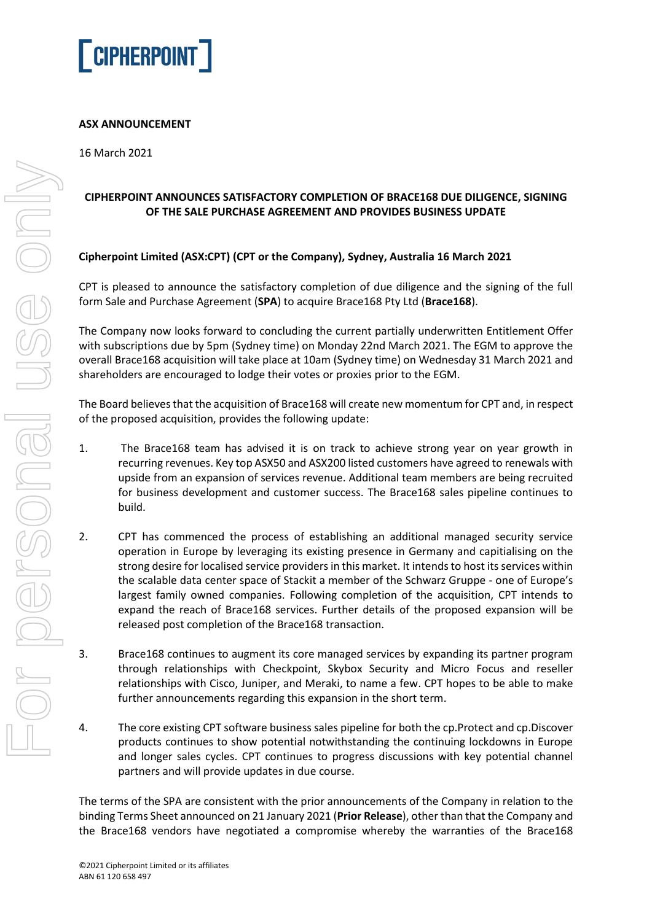

## **ASX ANNOUNCEMENT**

16 March 2021

# **CIPHERPOINT ANNOUNCES SATISFACTORY COMPLETION OF BRACE168 DUE DILIGENCE, SIGNING OF THE SALE PURCHASE AGREEMENT AND PROVIDES BUSINESS UPDATE**

### **Cipherpoint Limited (ASX:CPT) (CPT or the Company), Sydney, Australia 16 March 2021**

CPT is pleased to announce the satisfactory completion of due diligence and the signing of the full form Sale and Purchase Agreement (**SPA**) to acquire Brace168 Pty Ltd (**Brace168**).

The Company now looks forward to concluding the current partially underwritten Entitlement Offer with subscriptions due by 5pm (Sydney time) on Monday 22nd March 2021. The EGM to approve the overall Brace168 acquisition will take place at 10am (Sydney time) on Wednesday 31 March 2021 and shareholders are encouraged to lodge their votes or proxies prior to the EGM.

The Board believes that the acquisition of Brace168 will create new momentum for CPT and, in respect of the proposed acquisition, provides the following update:

- 1. The Brace168 team has advised it is on track to achieve strong year on year growth in recurring revenues. Key top ASX50 and ASX200 listed customers have agreed to renewals with upside from an expansion of services revenue. Additional team members are being recruited for business development and customer success. The Brace168 sales pipeline continues to build.
- 2. CPT has commenced the process of establishing an additional managed security service operation in Europe by leveraging its existing presence in Germany and capitialising on the strong desire for localised service providers in this market. It intendsto host its services within the scalable data center space of Stackit a member of the Schwarz Gruppe - one of Europe's largest family owned companies. Following completion of the acquisition, CPT intends to expand the reach of Brace168 services. Further details of the proposed expansion will be released post completion of the Brace168 transaction.
- 3. Brace168 continues to augment its core managed services by expanding its partner program through relationships with Checkpoint, Skybox Security and Micro Focus and reseller relationships with Cisco, Juniper, and Meraki, to name a few. CPT hopes to be able to make further announcements regarding this expansion in the short term.
- 4. The core existing CPT software business sales pipeline for both the cp.Protect and cp.Discover products continues to show potential notwithstanding the continuing lockdowns in Europe and longer sales cycles. CPT continues to progress discussions with key potential channel partners and will provide updates in due course.

The terms of the SPA are consistent with the prior announcements of the Company in relation to the binding Terms Sheet announced on 21 January 2021 (**Prior Release**), other than that the Company and the Brace168 vendors have negotiated a compromise whereby the warranties of the Brace168